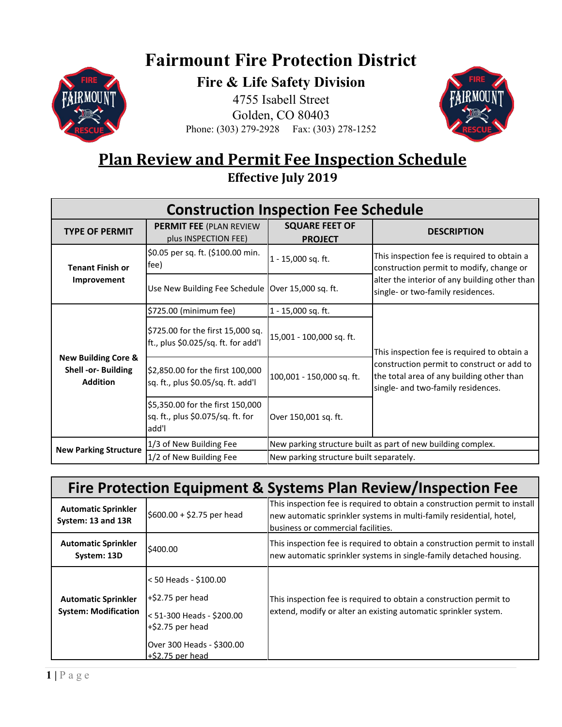## **Fairmount Fire Protection District**



**Fire & Life Safety Division** 4755 Isabell Street Golden, CO 80403





## **Plan Review and Permit Fee Inspection Schedule Effective July 2019**

| <b>Construction Inspection Fee Schedule</b>                              |                                                                                |                                                              |                                                                                                                                                                              |  |
|--------------------------------------------------------------------------|--------------------------------------------------------------------------------|--------------------------------------------------------------|------------------------------------------------------------------------------------------------------------------------------------------------------------------------------|--|
| <b>TYPE OF PERMIT</b>                                                    | <b>PERMIT FEE (PLAN REVIEW)</b><br>plus INSPECTION FEE)                        | <b>SQUARE FEET OF</b><br><b>PROJECT</b>                      | <b>DESCRIPTION</b>                                                                                                                                                           |  |
| <b>Tenant Finish or</b><br>Improvement                                   | \$0.05 per sq. ft. (\$100.00 min.<br>fee)                                      | $1 - 15,000$ sq. ft.                                         | This inspection fee is required to obtain a<br>construction permit to modify, change or                                                                                      |  |
|                                                                          | Use New Building Fee Schedule   Over 15,000 sq. ft.                            |                                                              | alter the interior of any building other than<br>single- or two-family residences.                                                                                           |  |
| <b>New Building Core &amp;</b><br>Shell -or- Building<br><b>Addition</b> | \$725.00 (minimum fee)                                                         | 1 - 15,000 sq. ft.                                           | This inspection fee is required to obtain a<br>construction permit to construct or add to<br>the total area of any building other than<br>single- and two-family residences. |  |
|                                                                          | \$725.00 for the first 15,000 sq.<br>ft., plus \$0.025/sq. ft. for add'l       | 15,001 - 100,000 sq. ft.                                     |                                                                                                                                                                              |  |
|                                                                          | \$2,850.00 for the first 100,000<br>sq. ft., plus \$0.05/sq. ft. add'l         | 100,001 - 150,000 sq. ft.                                    |                                                                                                                                                                              |  |
|                                                                          | \$5,350.00 for the first 150,000<br>sq. ft., plus \$0.075/sq. ft. for<br>add'l | Over 150,001 sq. ft.                                         |                                                                                                                                                                              |  |
| <b>New Parking Structure</b>                                             | 1/3 of New Building Fee                                                        | New parking structure built as part of new building complex. |                                                                                                                                                                              |  |
|                                                                          | 1/2 of New Building Fee                                                        | New parking structure built separately.                      |                                                                                                                                                                              |  |

| Fire Protection Equipment & Systems Plan Review/Inspection Fee |                                                                                                                                                      |                                                                                                                                                                                         |  |  |
|----------------------------------------------------------------|------------------------------------------------------------------------------------------------------------------------------------------------------|-----------------------------------------------------------------------------------------------------------------------------------------------------------------------------------------|--|--|
| <b>Automatic Sprinkler</b><br>System: 13 and 13R               | $$600.00 + $2.75$ per head                                                                                                                           | This inspection fee is required to obtain a construction permit to install<br>new automatic sprinkler systems in multi-family residential, hotel,<br>business or commercial facilities. |  |  |
| <b>Automatic Sprinkler</b><br>System: 13D                      | \$400.00                                                                                                                                             | This inspection fee is required to obtain a construction permit to install<br>new automatic sprinkler systems in single-family detached housing.                                        |  |  |
| <b>Automatic Sprinkler</b><br><b>System: Modification</b>      | < 50 Heads - \$100.00<br>$+$ \$2.75 per head<br>< 51-300 Heads - \$200.00<br>$+$ \$2.75 per head<br>Over 300 Heads - \$300.00<br>$+$ \$2.75 per head | This inspection fee is required to obtain a construction permit to<br>extend, modify or alter an existing automatic sprinkler system.                                                   |  |  |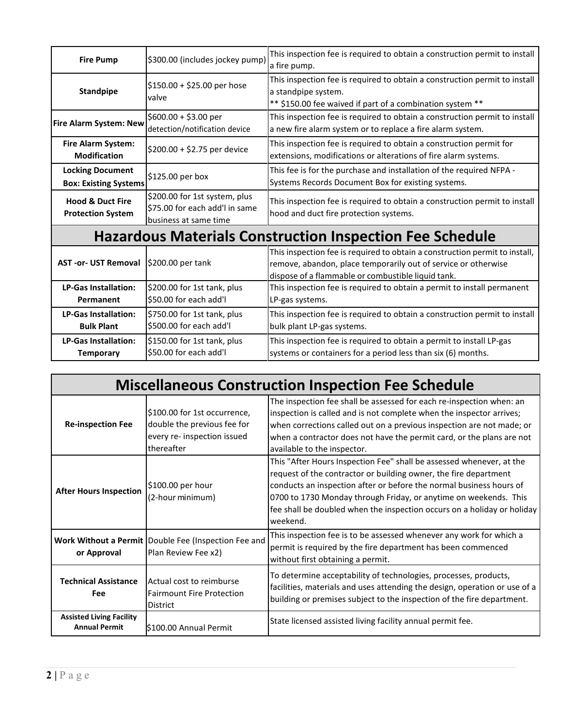| <b>Fire Pump</b>                                                | \$300.00 (includes jockey pump)                                                          | This inspection fee is required to obtain a construction permit to install                                                                                                                          |  |  |
|-----------------------------------------------------------------|------------------------------------------------------------------------------------------|-----------------------------------------------------------------------------------------------------------------------------------------------------------------------------------------------------|--|--|
|                                                                 |                                                                                          | a fire pump.                                                                                                                                                                                        |  |  |
| <b>Standpipe</b>                                                | $$150.00 + $25.00$ per hose<br>valve                                                     | This inspection fee is required to obtain a construction permit to install<br>a standpipe system.<br>** \$150.00 fee waived if part of a combination system **                                      |  |  |
| <b>Fire Alarm System: New</b>                                   | $$600.00 + $3.00$ per<br>detection/notification device                                   | This inspection fee is required to obtain a construction permit to install<br>a new fire alarm system or to replace a fire alarm system.                                                            |  |  |
| Fire Alarm System:<br><b>Modification</b>                       | \$200.00 + \$2.75 per device                                                             | This inspection fee is required to obtain a construction permit for<br>extensions, modifications or alterations of fire alarm systems.                                                              |  |  |
| <b>Locking Document</b><br><b>Box: Existing Systems</b>         | \$125.00 per box                                                                         | This fee is for the purchase and installation of the required NFPA -<br>Systems Records Document Box for existing systems.                                                                          |  |  |
| <b>Hood &amp; Duct Fire</b><br><b>Protection System</b>         | \$200.00 for 1st system, plus<br>\$75.00 for each add'l in same<br>business at same time | This inspection fee is required to obtain a construction permit to install<br>hood and duct fire protection systems.                                                                                |  |  |
| <b>Hazardous Materials Construction Inspection Fee Schedule</b> |                                                                                          |                                                                                                                                                                                                     |  |  |
| <b>AST -or- UST Removal</b>                                     | \$200.00 per tank                                                                        | This inspection fee is required to obtain a construction permit to install,<br>remove, abandon, place temporarily out of service or otherwise<br>dispose of a flammable or combustible liquid tank. |  |  |
| <b>LP-Gas Installation:</b><br>Permanent                        | \$200.00 for 1st tank, plus<br>\$50.00 for each add'l                                    | This inspection fee is required to obtain a permit to install permanent<br>LP-gas systems.                                                                                                          |  |  |
| <b>LP-Gas Installation:</b><br><b>Bulk Plant</b>                | \$750.00 for 1st tank, plus<br>\$500.00 for each add'l                                   | This inspection fee is required to obtain a construction permit to install<br>bulk plant LP-gas systems.                                                                                            |  |  |
| <b>LP-Gas Installation:</b><br><b>Temporary</b>                 | \$150.00 for 1st tank, plus<br>\$50.00 for each add'l                                    | This inspection fee is required to obtain a permit to install LP-gas<br>systems or containers for a period less than six (6) months.                                                                |  |  |

| <b>Miscellaneous Construction Inspection Fee Schedule</b> |                                                                                                          |                                                                                                                                                                                                                                                                                                                                                                            |  |  |
|-----------------------------------------------------------|----------------------------------------------------------------------------------------------------------|----------------------------------------------------------------------------------------------------------------------------------------------------------------------------------------------------------------------------------------------------------------------------------------------------------------------------------------------------------------------------|--|--|
| <b>Re-inspection Fee</b>                                  | \$100.00 for 1st occurrence,<br>double the previous fee for<br>every re- inspection issued<br>thereafter | The inspection fee shall be assessed for each re-inspection when: an<br>inspection is called and is not complete when the inspector arrives;<br>when corrections called out on a previous inspection are not made; or<br>when a contractor does not have the permit card, or the plans are not<br>available to the inspector.                                              |  |  |
| <b>After Hours Inspection</b>                             | \$100.00 per hour<br>(2-hour minimum)                                                                    | This "After Hours Inspection Fee" shall be assessed whenever, at the<br>request of the contractor or building owner, the fire department<br>conducts an inspection after or before the normal business hours of<br>0700 to 1730 Monday through Friday, or anytime on weekends. This<br>fee shall be doubled when the inspection occurs on a holiday or holiday<br>weekend. |  |  |
| or Approval                                               | Work Without a Permit Double Fee (Inspection Fee and<br>Plan Review Fee x2)                              | This inspection fee is to be assessed whenever any work for which a<br>permit is required by the fire department has been commenced<br>without first obtaining a permit.                                                                                                                                                                                                   |  |  |
| <b>Technical Assistance</b><br>Fee                        | Actual cost to reimburse<br><b>Fairmount Fire Protection</b><br><b>District</b>                          | To determine acceptability of technologies, processes, products,<br>facilities, materials and uses attending the design, operation or use of a<br>building or premises subject to the inspection of the fire department.                                                                                                                                                   |  |  |
| <b>Assisted Living Facility</b><br><b>Annual Permit</b>   | S100.00 Annual Permit                                                                                    | State licensed assisted living facility annual permit fee.                                                                                                                                                                                                                                                                                                                 |  |  |